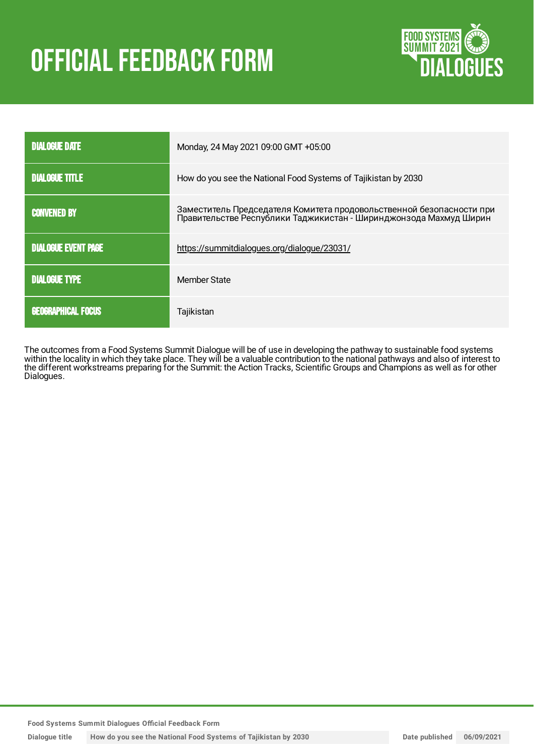# **OFFICIAL FEEDBACK FORM**



| <b>DIALOGUE DATE</b>       | Monday, 24 May 2021 09:00 GMT +05:00                                 |
|----------------------------|----------------------------------------------------------------------|
| <b>DIALOGUE TITLE</b>      | How do you see the National Food Systems of Tajikistan by 2030       |
| <b>CONVENED BY</b>         | Заместитель Председателя Комитета продовольственной безопасности при |
| <b>DIALOGUE EVENT PAGE</b> | https://summitdialogues.org/dialogue/23031/                          |
| <b>DIALOGUE TYPE</b>       | Member State                                                         |
| <b>GEOGRAPHICAL FOCUS</b>  | Tajikistan                                                           |

The outcomes from a Food Systems Summit Dialogue will be of use in developing the pathway to sustainable food systems within the locality in which they take place. They will be a valuable contribution to the national pathways and also of interest to the different workstreams preparing for the Summit: the Action Tracks, Scientific Groups and Champions as well as for other Dialogues.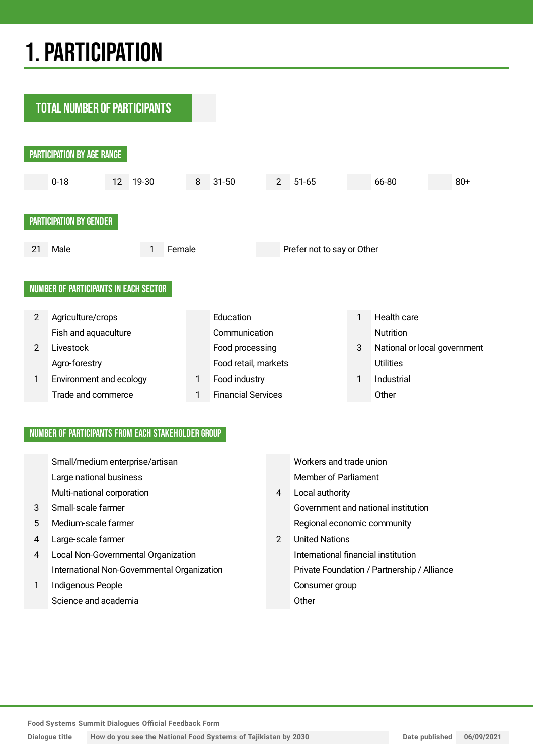## 1.PARTICIPATION

**TOTAL NUMBER OF PARTICIPANTS** PARTICIPATION BY AGE RANGE 0-18 12 19-30 8 31-50 2 51-65 66-80 80+ PARTICIPATION BY GENDER 21 Male 20 1 Female Prefer not to say or Other NUMBER OF PARTICIPANTS IN EACH SECTOR 2 Agriculture/crops **Education** Education 1 Health care Fish and aquaculture Communication Communication 2 Livestock Food processing 3 National or local government Agro-forestry **Example 2018** Food retail, markets Utilities 1 Environment and ecology 1 Food industry 1 Industrial Trade and commerce 1 Financial Services Other

#### NUMBER OF PARTICIPANTS FROM EACH STAKEHOLDER GROUP

|   | Small/medium enterprise/artisan             |               | Workers and trade union                     |
|---|---------------------------------------------|---------------|---------------------------------------------|
|   | Large national business                     |               | Member of Parliament                        |
|   | Multi-national corporation                  | 4             | Local authority                             |
| 3 | Small-scale farmer                          |               | Government and national institution         |
| 5 | Medium-scale farmer                         |               | Regional economic community                 |
| 4 | Large-scale farmer                          | $\mathcal{P}$ | <b>United Nations</b>                       |
| 4 | Local Non-Governmental Organization         |               | International financial institution         |
|   | International Non-Governmental Organization |               | Private Foundation / Partnership / Alliance |
| 1 | Indigenous People                           |               | Consumer group                              |
|   | Science and academia                        |               | Other                                       |

**Food Systems Summit Dialogues Official Feedback Form**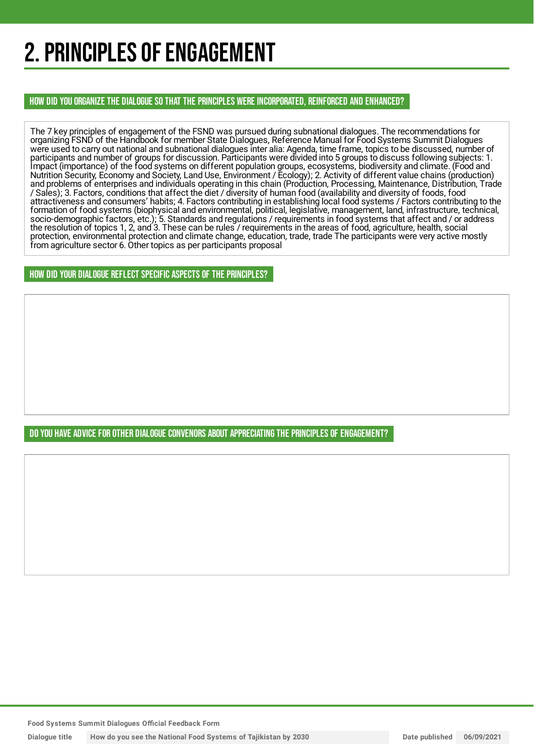## 2. PRINCIPLES OF ENGAGEMENT

HOW DID YOU ORGANIZE THE DIALOGUE SO THAT THE PRINCIPLES WERE INCORPORATED, REINFORCED AND ENHANCED?

The 7 key principles of engagement of the FSND was pursued during subnational dialogues. The recommendations for organizing FSND of the Handbook for member State Dialogues, Reference Manual for Food Systems Summit Dialogues were used to carry out national and subnational dialogues inter alia: Agenda, time frame, topics to be discussed, number of participants and number of groups for discussion. Participants were divided into 5 groups to discuss following subjects: 1. Impact (importance) of the food systems on different population groups, ecosystems, biodiversity and climate. (Food and Nutrition Security, Economy and Society, Land Use, Environment / Ecology); 2. Activity of different value chains (production) and problems of enterprises and individuals operating in this chain (Production, Processing, Maintenance, Distribution, Trade / Sales); 3. Factors, conditions that affect the diet / diversity of human food (availability and diversity of foods, food attractiveness and consumers' habits; 4. Factors contributing in establishing local food systems / Factors contributing to the formation of food systems (biophysical and environmental, political, legislative, management, land, infrastructure, technical, socio-demographic factors, etc.); 5. Standards and regulations / requirements in food systems that affect and / or address the resolution of topics 1, 2, and 3. These can be rules / requirements in the areas of food, agriculture, health, social protection, environmental protection and climate change, education, trade, trade The participants were very active mostly from agriculture sector 6. Other topics as per participants proposal

HOW DID YOUR DIALOGUE REFLECT SPECIFIC ASPECTS OF THE PRINCIPLES?

DO YOU HAVE ADVICE FOR OTHER DIALOGUE CONVENORS ABOUT APPRECIATINGTHE PRINCIPLES OF ENGAGEMENT?

**Food Systems Summit Dialogues Official Feedback Form**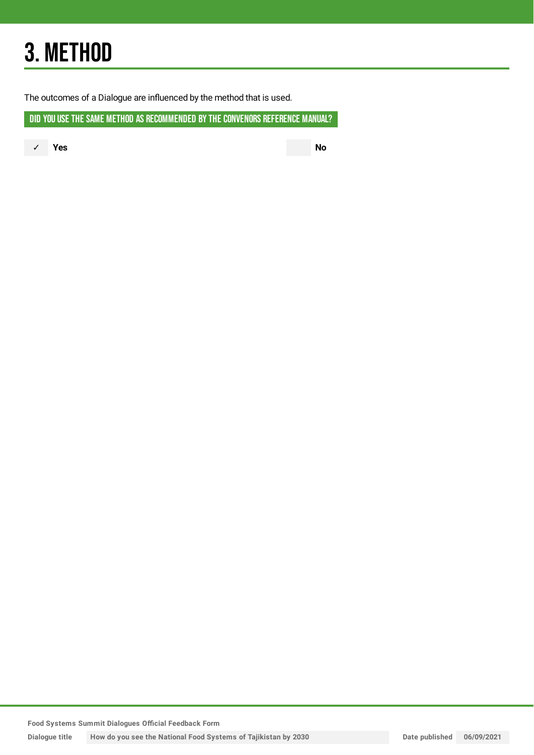## 3. METHOD

The outcomes of a Dialogue are influenced by the method that is used.

DID YOU USE THE SAME METHOD AS RECOMMENDED BY THE CONVENORS REFERENCE MANUAL?

✓ **Yes No**

**Food Systems Summit Dialogues Official Feedback Form**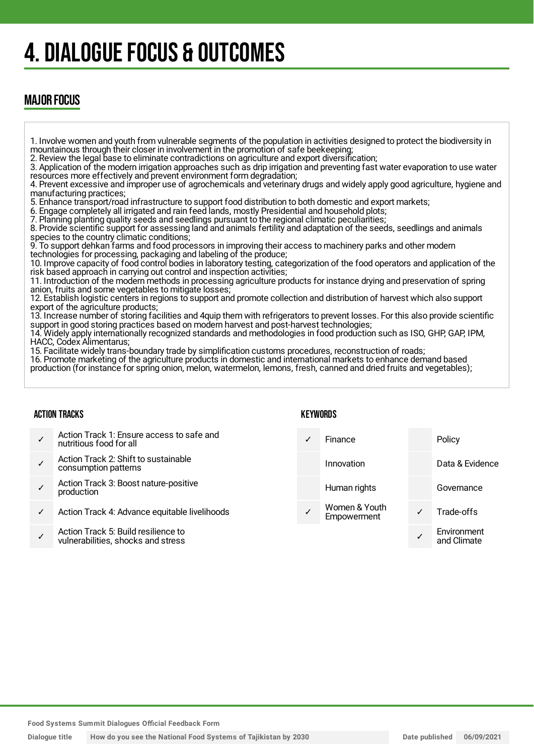## 4. DIALOGUE FOCUS & OUTCOMES

### MAJOR FOCUS

1. Involve women and youth from vulnerable segments of the population in activities designed to protect the biodiversity in mountainous through their closer in involvement in the promotion of safe beekeeping;

2. Review the legal base to eliminate contradictions on agriculture and export diversification;

3. Application of the modern irrigation approaches such as drip irrigation and preventing fast water evaporation to use water resources more effectively and prevent environment form degradation;

4. Prevent excessive and improper use of agrochemicals and veterinary drugs and widely apply good agriculture, hygiene and manufacturing practices;

5. Enhance transport/road infrastructure to support food distribution to both domestic and export markets;

6. Engage completely all irrigated and rain feed lands, mostly Presidential and household plots;

7. Planning planting quality seeds and seedlings pursuant to the regional climatic peculiarities;

8. Provide scientific support for assessing land and animals fertility and adaptation of the seeds, seedlings and animals species to the country climatic conditions;

9. To support dehkan farms and food processors in improving their access to machinery parks and other modern technologies for processing, packaging and labeling of the produce;

10. Improve capacity of food control bodies in laboratory testing, categorization of the food operators and application of the risk based approach in carrying out control and inspection activities;

11. Introduction of the modern methods in processing agriculture products for instance drying and preservation of spring anion, fruits and some vegetables to mitigate losses;

12. Establish logistic centers in regions to support and promote collection and distribution of harvest which also support export of the agriculture products;

13. Increase number of storing facilities and 4quip them with refrigerators to prevent losses. For this also provide scientific support in good storing practices based on modern harvest and post-harvest technologies;

14. Widely apply internationally recognized standards and methodologies in food production such as ISO, GHP, GAP, IPM, HACC, Codex Alimentarus;

15. Facilitate widely trans-boundary trade by simplification customs procedures, reconstruction of roads;

16. Promote marketing of the agriculture products in domestic and international markets to enhance demand based production (for instance for spring onion, melon, watermelon, lemons, fresh, canned and dried fruits and vegetables);

#### ACTION TRACKS

- ✓ Action Track 1: Ensure access to safe and nutritious food for all ✓ Action Track 2: Shift to sustainable consumption patterns ✓ Action Track 3: Boost nature-positive production
- Action Track 4: Advance equitable livelihoods
- ✓ Action Track 5: Build resilience to vulnerabilities, shocks and stress

#### KEYWORDS

| Finance                      |   | Policy                     |
|------------------------------|---|----------------------------|
| Innovation                   |   | Data & Evidence            |
| Human rights                 |   | Governance                 |
| Women & Youth<br>Empowerment | ✓ | Trade-offs                 |
|                              |   | Environment<br>and Climate |
|                              |   |                            |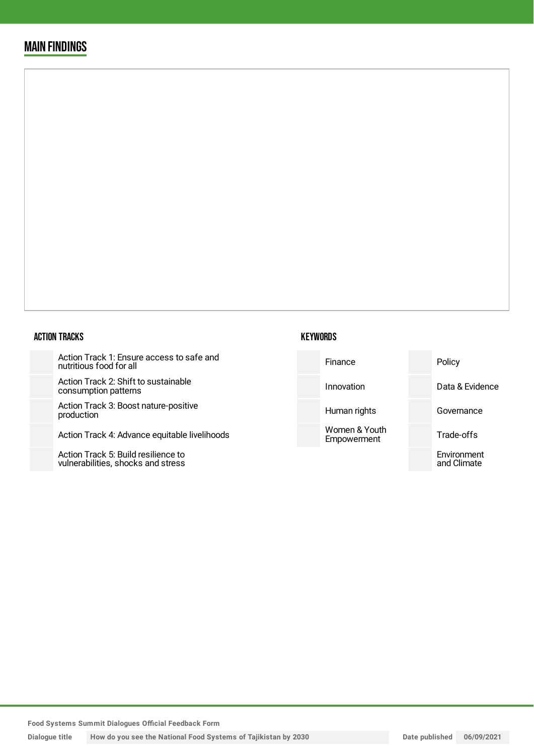### MAIN FINDINGS

#### ACTION TRACKS

Action Track 1: Ensure access to safe and nutritious food for all

Action Track 2: Shift to sustainab consumption patterns

Action Track 3: Boost nature-posi production

Action Track 4: Advance equitable

Action Track 5: Build resilience to vulnerabilities, shocks and stress

| safe and      | Finance                      | Policy                     |
|---------------|------------------------------|----------------------------|
| ۱le           | Innovation                   | Data & Evidence            |
| itive         | Human rights                 | Governance                 |
| e livelihoods | Women & Youth<br>Empowerment | Trade-offs                 |
|               |                              | Environment<br>and Climate |

**Food Systems Summit Dialogues Official Feedback Form**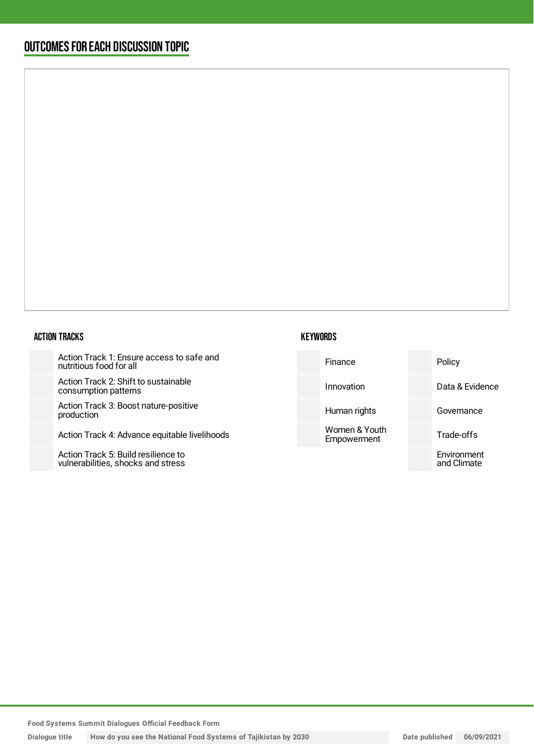### OUTCOMESFOR EACH DISCUSSION TOPIC

#### ACTION TRACKS

Action Track 1: Ensure access to safe and nutritious food for all

Action Track 2: Shift to sustainable consumption patterns

Action Track 3: Boost nature-positiv production

Action Track 4: Advance equitable li

Action Track 5: Build resilience to vulnerabilities, shocks and stress

| Data & Evidence<br>Innovation                            |  |
|----------------------------------------------------------|--|
| ve<br>Human rights<br>Governance                         |  |
| Women & Youth<br>ivelihoods<br>Trade-offs<br>Empowerment |  |
| Environment<br>and Climate                               |  |

**Food Systems Summit Dialogues Official Feedback Form**